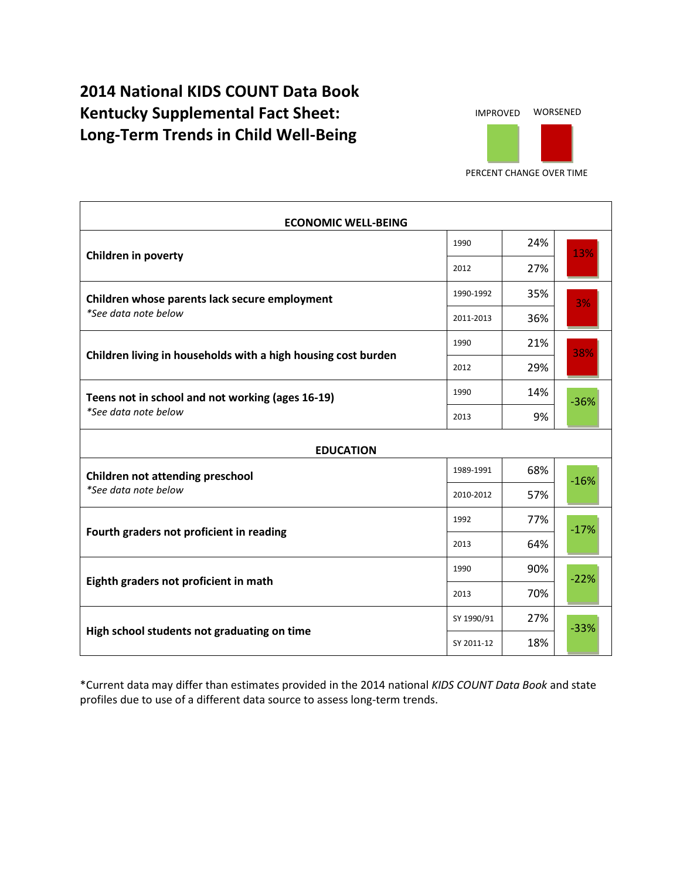## **2014 National KIDS COUNT Data Book Kentucky Supplemental Fact Sheet: Long-Term Trends in Child Well-Being**



PERCENT CHANGE OVER TIME

| <b>ECONOMIC WELL-BEING</b>                                               |            |     |        |  |
|--------------------------------------------------------------------------|------------|-----|--------|--|
| Children in poverty                                                      | 1990       | 24% | 13%    |  |
|                                                                          | 2012       | 27% |        |  |
| Children whose parents lack secure employment<br>*See data note below    | 1990-1992  | 35% | 3%     |  |
|                                                                          | 2011-2013  | 36% |        |  |
| Children living in households with a high housing cost burden            | 1990       | 21% | 38%    |  |
|                                                                          | 2012       | 29% |        |  |
| Teens not in school and not working (ages 16-19)<br>*See data note below | 1990       | 14% | $-36%$ |  |
|                                                                          | 2013       | 9%  |        |  |
| <b>EDUCATION</b>                                                         |            |     |        |  |
| <b>Children not attending preschool</b><br>*See data note below          | 1989-1991  | 68% | $-16%$ |  |
|                                                                          | 2010-2012  | 57% |        |  |
| Fourth graders not proficient in reading                                 | 1992       | 77% | $-17%$ |  |
|                                                                          | 2013       | 64% |        |  |
| Eighth graders not proficient in math                                    | 1990       | 90% | $-22%$ |  |
|                                                                          | 2013       | 70% |        |  |
| High school students not graduating on time                              | SY 1990/91 | 27% | $-33%$ |  |
|                                                                          | SY 2011-12 | 18% |        |  |

\*Current data may differ than estimates provided in the 2014 national *KIDS COUNT Data Book* and state profiles due to use of a different data source to assess long-term trends.